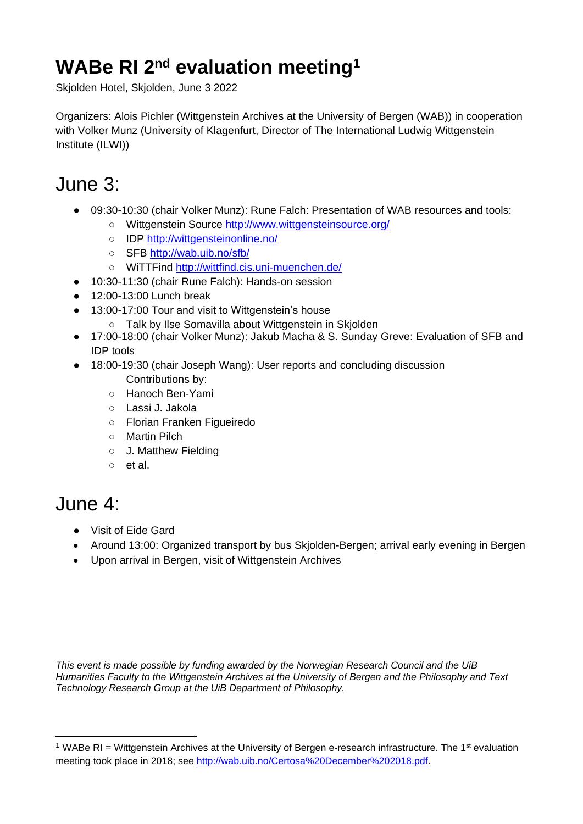## **WABe RI 2nd evaluation meeting<sup>1</sup>**

Skjolden Hotel, Skjolden, June 3 2022

Organizers: Alois Pichler (Wittgenstein Archives at the University of Bergen (WAB)) in cooperation with Volker Munz (University of Klagenfurt, Director of The International Ludwig Wittgenstein Institute (ILWI))

## June 3:

- 09:30-10:30 (chair Volker Munz): Rune Falch: Presentation of WAB resources and tools:
	- Wittgenstein Source<http://www.wittgensteinsource.org/>
	- IDP<http://wittgensteinonline.no/>
	- SFB<http://wab.uib.no/sfb/>
	- WiTTFind<http://wittfind.cis.uni-muenchen.de/>
- 10:30-11:30 (chair Rune Falch): Hands-on session
- $\bullet$  12:00-13:00 Lunch break
- 13:00-17:00 Tour and visit to Wittgenstein's house
	- Talk by Ilse Somavilla about Wittgenstein in Skjolden
- 17:00-18:00 (chair Volker Munz): Jakub Macha & S. Sunday Greve: Evaluation of SFB and IDP tools
- 18:00-19:30 (chair Joseph Wang): User reports and concluding discussion Contributions by:
	- Hanoch Ben-Yami
	- Lassi J. Jakola
	- Florian Franken Figueiredo
	- Martin Pilch
	- J. Matthew Fielding
	- et al.

## June 4:

- Visit of Eide Gard
- Around 13:00: Organized transport by bus Skjolden-Bergen; arrival early evening in Bergen
- Upon arrival in Bergen, visit of Wittgenstein Archives

*This event is made possible by funding awarded by the Norwegian Research Council and the UiB Humanities Faculty to the Wittgenstein Archives at the University of Bergen and the Philosophy and Text Technology Research Group at the UiB Department of Philosophy.*

 $1$  WABe RI = Wittgenstein Archives at the University of Bergen e-research infrastructure. The  $1<sup>st</sup>$  evaluation meeting took place in 2018; see [http://wab.uib.no/Certosa%20December%202018.pdf.](http://wab.uib.no/Certosa%20December%202018.pdf)